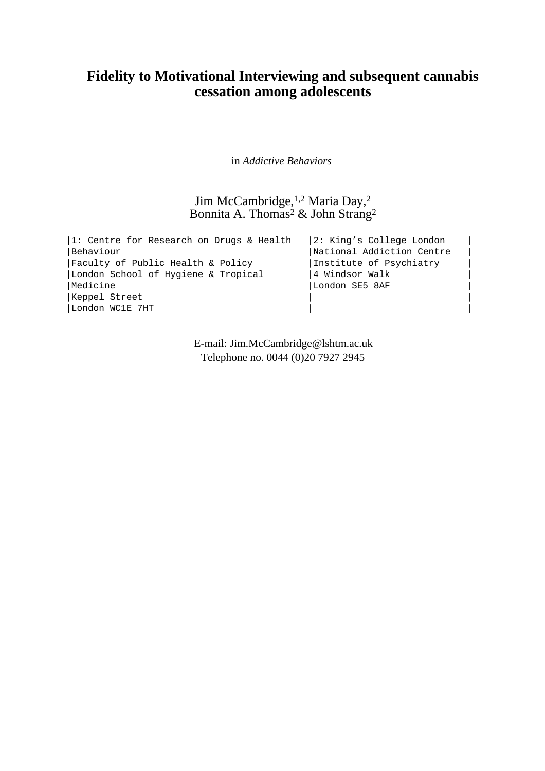## **Fidelity to Motivational Interviewing and subsequent cannabis cessation among adolescents**

in *Addictive Behaviors* 

Jim McCambridge, 1,2 Maria Day, 2 Bonnita A. Thomas<sup>2</sup> & John Strang<sup>2</sup>

|1: Centre for Research on Drugs & Health |2: King's College London | |Behaviour | National Addiction Centre |Faculty of Public Health & Policy |Institute of Psychiatry | |London School of Hygiene & Tropical |4 Windsor Walk |Medicine |London SE5 8AF | |Keppel Street | | |London WC1E 7HT | |

> E-mail: Jim.McCambridge@lshtm.ac.uk Telephone no. 0044 (0)20 7927 2945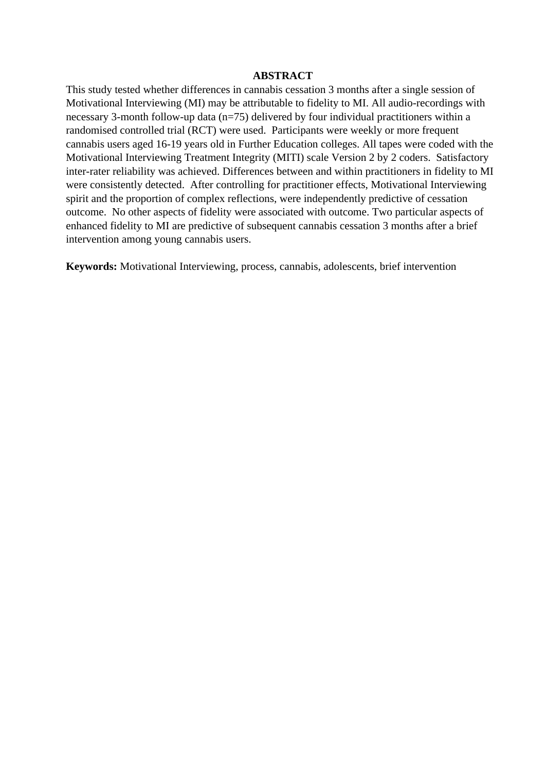#### **ABSTRACT**

This study tested whether differences in cannabis cessation 3 months after a single session of Motivational Interviewing (MI) may be attributable to fidelity to MI. All audio-recordings with necessary 3-month follow-up data (n=75) delivered by four individual practitioners within a randomised controlled trial (RCT) were used. Participants were weekly or more frequent cannabis users aged 16-19 years old in Further Education colleges. All tapes were coded with the Motivational Interviewing Treatment Integrity (MITI) scale Version 2 by 2 coders. Satisfactory inter-rater reliability was achieved. Differences between and within practitioners in fidelity to MI were consistently detected. After controlling for practitioner effects, Motivational Interviewing spirit and the proportion of complex reflections, were independently predictive of cessation outcome. No other aspects of fidelity were associated with outcome. Two particular aspects of enhanced fidelity to MI are predictive of subsequent cannabis cessation 3 months after a brief intervention among young cannabis users.

**Keywords:** Motivational Interviewing, process, cannabis, adolescents, brief intervention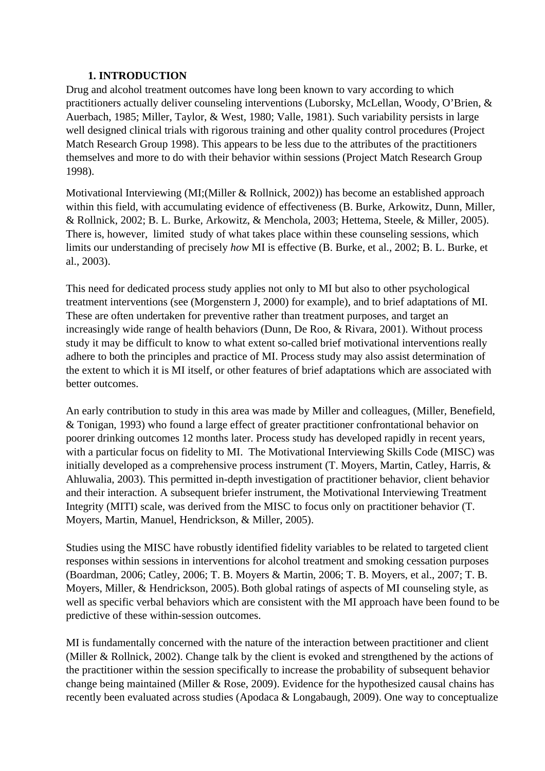## **1. INTRODUCTION**

Drug and alcohol treatment outcomes have long been known to vary according to which practitioners actually deliver counseling interventions (Luborsky, McLellan, Woody, O'Brien, & Auerbach, 1985; Miller, Taylor, & West, 1980; Valle, 1981). Such variability persists in large well designed clinical trials with rigorous training and other quality control procedures (Project Match Research Group 1998). This appears to be less due to the attributes of the practitioners themselves and more to do with their behavior within sessions (Project Match Research Group 1998).

Motivational Interviewing (MI;(Miller & Rollnick, 2002)) has become an established approach within this field, with accumulating evidence of effectiveness (B. Burke, Arkowitz, Dunn, Miller, & Rollnick, 2002; B. L. Burke, Arkowitz, & Menchola, 2003; Hettema, Steele, & Miller, 2005). There is, however, limited study of what takes place within these counseling sessions, which limits our understanding of precisely *how* MI is effective (B. Burke, et al., 2002; B. L. Burke, et al., 2003).

This need for dedicated process study applies not only to MI but also to other psychological treatment interventions (see (Morgenstern J, 2000) for example), and to brief adaptations of MI. These are often undertaken for preventive rather than treatment purposes, and target an increasingly wide range of health behaviors (Dunn, De Roo, & Rivara, 2001). Without process study it may be difficult to know to what extent so-called brief motivational interventions really adhere to both the principles and practice of MI. Process study may also assist determination of the extent to which it is MI itself, or other features of brief adaptations which are associated with better outcomes.

An early contribution to study in this area was made by Miller and colleagues, (Miller, Benefield, & Tonigan, 1993) who found a large effect of greater practitioner confrontational behavior on poorer drinking outcomes 12 months later. Process study has developed rapidly in recent years, with a particular focus on fidelity to MI. The Motivational Interviewing Skills Code (MISC) was initially developed as a comprehensive process instrument (T. Moyers, Martin, Catley, Harris, & Ahluwalia, 2003). This permitted in-depth investigation of practitioner behavior, client behavior and their interaction. A subsequent briefer instrument, the Motivational Interviewing Treatment Integrity (MITI) scale, was derived from the MISC to focus only on practitioner behavior (T. Moyers, Martin, Manuel, Hendrickson, & Miller, 2005).

Studies using the MISC have robustly identified fidelity variables to be related to targeted client responses within sessions in interventions for alcohol treatment and smoking cessation purposes (Boardman, 2006; Catley, 2006; T. B. Moyers & Martin, 2006; T. B. Moyers, et al., 2007; T. B. Moyers, Miller,  $&$  Hendrickson, 2005). Both global ratings of aspects of MI counseling style, as well as specific verbal behaviors which are consistent with the MI approach have been found to be predictive of these within-session outcomes.

MI is fundamentally concerned with the nature of the interaction between practitioner and client (Miller & Rollnick, 2002). Change talk by the client is evoked and strengthened by the actions of the practitioner within the session specifically to increase the probability of subsequent behavior change being maintained (Miller & Rose, 2009). Evidence for the hypothesized causal chains has recently been evaluated across studies (Apodaca & Longabaugh, 2009). One way to conceptualize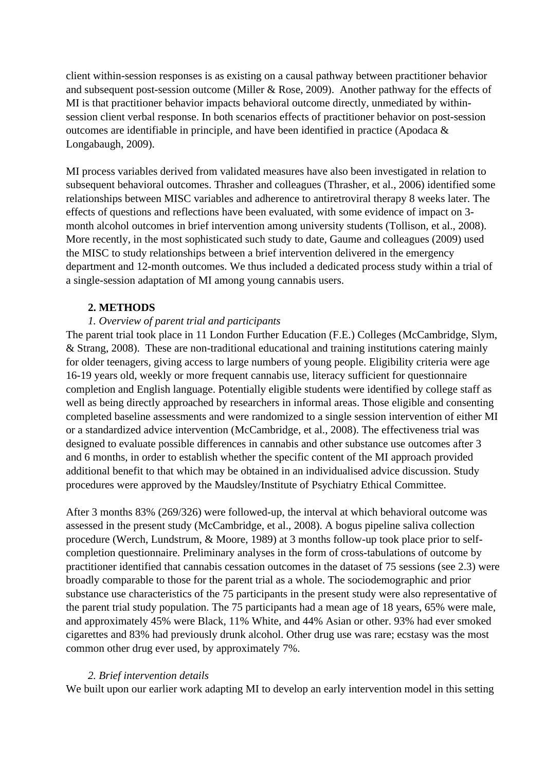client within-session responses is as existing on a causal pathway between practitioner behavior and subsequent post-session outcome (Miller & Rose, 2009). Another pathway for the effects of MI is that practitioner behavior impacts behavioral outcome directly, unmediated by withinsession client verbal response. In both scenarios effects of practitioner behavior on post-session outcomes are identifiable in principle, and have been identified in practice (Apodaca & Longabaugh, 2009).

MI process variables derived from validated measures have also been investigated in relation to subsequent behavioral outcomes. Thrasher and colleagues (Thrasher, et al., 2006) identified some relationships between MISC variables and adherence to antiretroviral therapy 8 weeks later. The effects of questions and reflections have been evaluated, with some evidence of impact on 3 month alcohol outcomes in brief intervention among university students (Tollison, et al., 2008). More recently, in the most sophisticated such study to date, Gaume and colleagues (2009) used the MISC to study relationships between a brief intervention delivered in the emergency department and 12-month outcomes. We thus included a dedicated process study within a trial of a single-session adaptation of MI among young cannabis users.

## **2. METHODS**

## *1. Overview of parent trial and participants*

The parent trial took place in 11 London Further Education (F.E.) Colleges (McCambridge, Slym, & Strang, 2008). These are non-traditional educational and training institutions catering mainly for older teenagers, giving access to large numbers of young people. Eligibility criteria were age 16-19 years old, weekly or more frequent cannabis use, literacy sufficient for questionnaire completion and English language. Potentially eligible students were identified by college staff as well as being directly approached by researchers in informal areas. Those eligible and consenting completed baseline assessments and were randomized to a single session intervention of either MI or a standardized advice intervention (McCambridge, et al., 2008). The effectiveness trial was designed to evaluate possible differences in cannabis and other substance use outcomes after 3 and 6 months, in order to establish whether the specific content of the MI approach provided additional benefit to that which may be obtained in an individualised advice discussion. Study procedures were approved by the Maudsley/Institute of Psychiatry Ethical Committee.

After 3 months 83% (269/326) were followed-up, the interval at which behavioral outcome was assessed in the present study (McCambridge, et al., 2008). A bogus pipeline saliva collection procedure (Werch, Lundstrum, & Moore, 1989) at 3 months follow-up took place prior to selfcompletion questionnaire. Preliminary analyses in the form of cross-tabulations of outcome by practitioner identified that cannabis cessation outcomes in the dataset of 75 sessions (see 2.3) were broadly comparable to those for the parent trial as a whole. The sociodemographic and prior substance use characteristics of the 75 participants in the present study were also representative of the parent trial study population. The 75 participants had a mean age of 18 years, 65% were male, and approximately 45% were Black, 11% White, and 44% Asian or other. 93% had ever smoked cigarettes and 83% had previously drunk alcohol. Other drug use was rare; ecstasy was the most common other drug ever used, by approximately 7%.

### *2. Brief intervention details*

We built upon our earlier work adapting MI to develop an early intervention model in this setting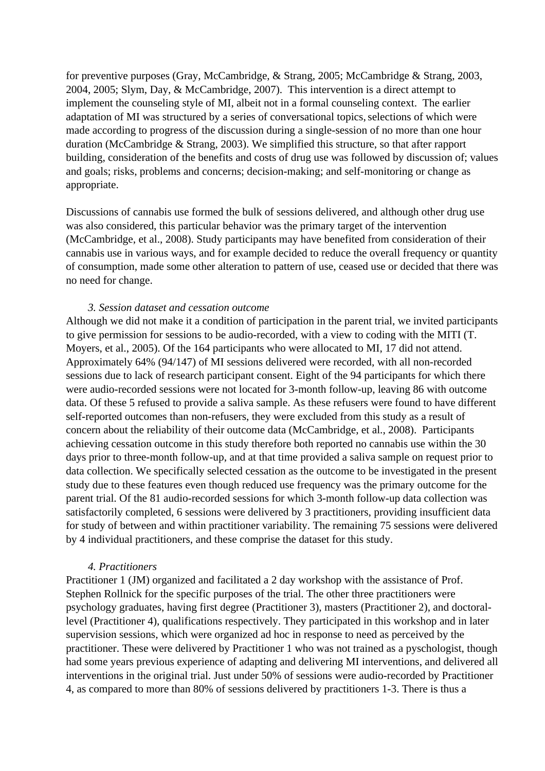for preventive purposes (Gray, McCambridge, & Strang, 2005; McCambridge & Strang, 2003, 2004, 2005; Slym, Day, & McCambridge, 2007). This intervention is a direct attempt to implement the counseling style of MI, albeit not in a formal counseling context. The earlier adaptation of MI was structured by a series of conversational topics, selections of which were made according to progress of the discussion during a single-session of no more than one hour duration (McCambridge & Strang, 2003). We simplified this structure, so that after rapport building, consideration of the benefits and costs of drug use was followed by discussion of; values and goals; risks, problems and concerns; decision-making; and self-monitoring or change as appropriate.

Discussions of cannabis use formed the bulk of sessions delivered, and although other drug use was also considered, this particular behavior was the primary target of the intervention (McCambridge, et al., 2008). Study participants may have benefited from consideration of their cannabis use in various ways, and for example decided to reduce the overall frequency or quantity of consumption, made some other alteration to pattern of use, ceased use or decided that there was no need for change.

### *3. Session dataset and cessation outcome*

Although we did not make it a condition of participation in the parent trial, we invited participants to give permission for sessions to be audio-recorded, with a view to coding with the MITI (T. Moyers, et al., 2005). Of the 164 participants who were allocated to MI, 17 did not attend. Approximately 64% (94/147) of MI sessions delivered were recorded, with all non-recorded sessions due to lack of research participant consent. Eight of the 94 participants for which there were audio-recorded sessions were not located for 3-month follow-up, leaving 86 with outcome data. Of these 5 refused to provide a saliva sample. As these refusers were found to have different self-reported outcomes than non-refusers, they were excluded from this study as a result of concern about the reliability of their outcome data (McCambridge, et al., 2008). Participants achieving cessation outcome in this study therefore both reported no cannabis use within the 30 days prior to three-month follow-up, and at that time provided a saliva sample on request prior to data collection. We specifically selected cessation as the outcome to be investigated in the present study due to these features even though reduced use frequency was the primary outcome for the parent trial. Of the 81 audio-recorded sessions for which 3-month follow-up data collection was satisfactorily completed, 6 sessions were delivered by 3 practitioners, providing insufficient data for study of between and within practitioner variability. The remaining 75 sessions were delivered by 4 individual practitioners, and these comprise the dataset for this study.

### *4. Practitioners*

Practitioner 1 (JM) organized and facilitated a 2 day workshop with the assistance of Prof. Stephen Rollnick for the specific purposes of the trial. The other three practitioners were psychology graduates, having first degree (Practitioner 3), masters (Practitioner 2), and doctorallevel (Practitioner 4), qualifications respectively. They participated in this workshop and in later supervision sessions, which were organized ad hoc in response to need as perceived by the practitioner. These were delivered by Practitioner 1 who was not trained as a pyschologist, though had some years previous experience of adapting and delivering MI interventions, and delivered all interventions in the original trial. Just under 50% of sessions were audio-recorded by Practitioner 4, as compared to more than 80% of sessions delivered by practitioners 1-3. There is thus a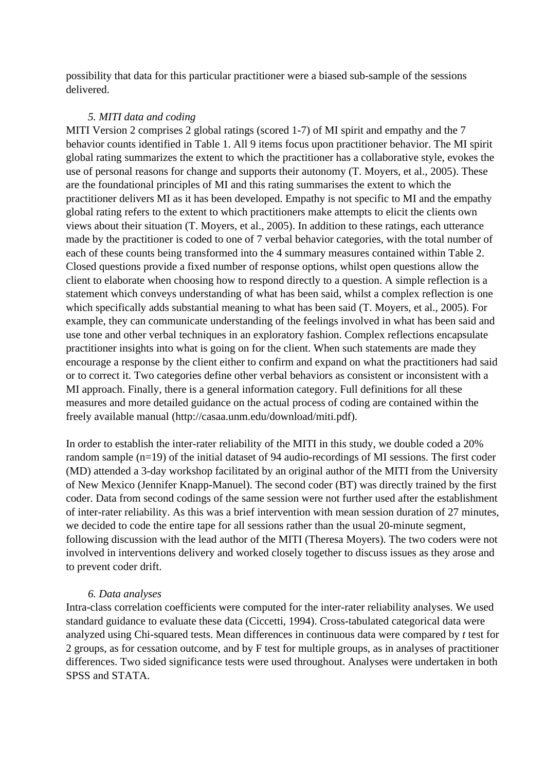possibility that data for this particular practitioner were a biased sub-sample of the sessions delivered.

#### *5. MITI data and coding*

MITI Version 2 comprises 2 global ratings (scored 1-7) of MI spirit and empathy and the 7 behavior counts identified in Table 1. All 9 items focus upon practitioner behavior. The MI spirit global rating summarizes the extent to which the practitioner has a collaborative style, evokes the use of personal reasons for change and supports their autonomy (T. Moyers, et al., 2005). These are the foundational principles of MI and this rating summarises the extent to which the practitioner delivers MI as it has been developed. Empathy is not specific to MI and the empathy global rating refers to the extent to which practitioners make attempts to elicit the clients own views about their situation (T. Moyers, et al., 2005). In addition to these ratings, each utterance made by the practitioner is coded to one of 7 verbal behavior categories, with the total number of each of these counts being transformed into the 4 summary measures contained within Table 2. Closed questions provide a fixed number of response options, whilst open questions allow the client to elaborate when choosing how to respond directly to a question. A simple reflection is a statement which conveys understanding of what has been said, whilst a complex reflection is one which specifically adds substantial meaning to what has been said (T. Moyers, et al., 2005). For example, they can communicate understanding of the feelings involved in what has been said and use tone and other verbal techniques in an exploratory fashion. Complex reflections encapsulate practitioner insights into what is going on for the client. When such statements are made they encourage a response by the client either to confirm and expand on what the practitioners had said or to correct it. Two categories define other verbal behaviors as consistent or inconsistent with a MI approach. Finally, there is a general information category. Full definitions for all these measures and more detailed guidance on the actual process of coding are contained within the freely available manual (http://casaa.unm.edu/download/miti.pdf).

In order to establish the inter-rater reliability of the MITI in this study, we double coded a 20% random sample (n=19) of the initial dataset of 94 audio-recordings of MI sessions. The first coder (MD) attended a 3-day workshop facilitated by an original author of the MITI from the University of New Mexico (Jennifer Knapp-Manuel). The second coder (BT) was directly trained by the first coder. Data from second codings of the same session were not further used after the establishment of inter-rater reliability. As this was a brief intervention with mean session duration of 27 minutes, we decided to code the entire tape for all sessions rather than the usual 20-minute segment, following discussion with the lead author of the MITI (Theresa Moyers). The two coders were not involved in interventions delivery and worked closely together to discuss issues as they arose and to prevent coder drift.

### *6. Data analyses*

Intra-class correlation coefficients were computed for the inter-rater reliability analyses. We used standard guidance to evaluate these data (Ciccetti, 1994). Cross-tabulated categorical data were analyzed using Chi-squared tests. Mean differences in continuous data were compared by *t* test for 2 groups, as for cessation outcome, and by F test for multiple groups, as in analyses of practitioner differences. Two sided significance tests were used throughout. Analyses were undertaken in both SPSS and STATA.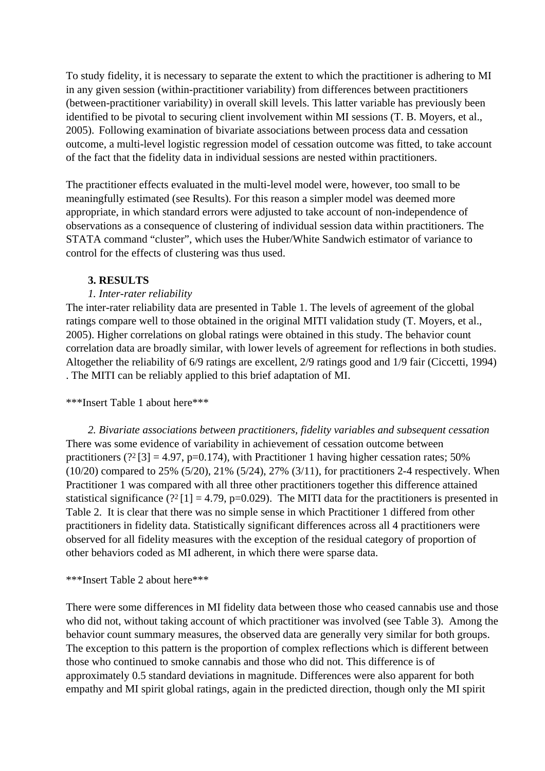To study fidelity, it is necessary to separate the extent to which the practitioner is adhering to MI in any given session (within-practitioner variability) from differences between practitioners (between-practitioner variability) in overall skill levels. This latter variable has previously been identified to be pivotal to securing client involvement within MI sessions (T. B. Moyers, et al., 2005). Following examination of bivariate associations between process data and cessation outcome, a multi-level logistic regression model of cessation outcome was fitted, to take account of the fact that the fidelity data in individual sessions are nested within practitioners.

The practitioner effects evaluated in the multi-level model were, however, too small to be meaningfully estimated (see Results). For this reason a simpler model was deemed more appropriate, in which standard errors were adjusted to take account of non-independence of observations as a consequence of clustering of individual session data within practitioners. The STATA command "cluster", which uses the Huber/White Sandwich estimator of variance to control for the effects of clustering was thus used.

## **3. RESULTS**

## *1. Inter-rater reliability*

The inter-rater reliability data are presented in Table 1. The levels of agreement of the global ratings compare well to those obtained in the original MITI validation study (T. Moyers, et al., 2005). Higher correlations on global ratings were obtained in this study. The behavior count correlation data are broadly similar, with lower levels of agreement for reflections in both studies. Altogether the reliability of 6/9 ratings are excellent, 2/9 ratings good and 1/9 fair (Ciccetti, 1994) . The MITI can be reliably applied to this brief adaptation of MI.

## \*\*\*Insert Table 1 about here\*\*\*

*2. Bivariate associations between practitioners, fidelity variables and subsequent cessation* There was some evidence of variability in achievement of cessation outcome between practitioners (? $^{2}[3] = 4.97$ , p=0.174), with Practitioner 1 having higher cessation rates; 50% (10/20) compared to 25% (5/20), 21% (5/24), 27% (3/11), for practitioners 2-4 respectively. When Practitioner 1 was compared with all three other practitioners together this difference attained statistical significance (?<sup>2</sup>[1] = 4.79, p=0.029). The MITI data for the practitioners is presented in Table 2. It is clear that there was no simple sense in which Practitioner 1 differed from other practitioners in fidelity data. Statistically significant differences across all 4 practitioners were observed for all fidelity measures with the exception of the residual category of proportion of other behaviors coded as MI adherent, in which there were sparse data.

## \*\*\*Insert Table 2 about here\*\*\*

There were some differences in MI fidelity data between those who ceased cannabis use and those who did not, without taking account of which practitioner was involved (see Table 3). Among the behavior count summary measures, the observed data are generally very similar for both groups. The exception to this pattern is the proportion of complex reflections which is different between those who continued to smoke cannabis and those who did not. This difference is of approximately 0.5 standard deviations in magnitude. Differences were also apparent for both empathy and MI spirit global ratings, again in the predicted direction, though only the MI spirit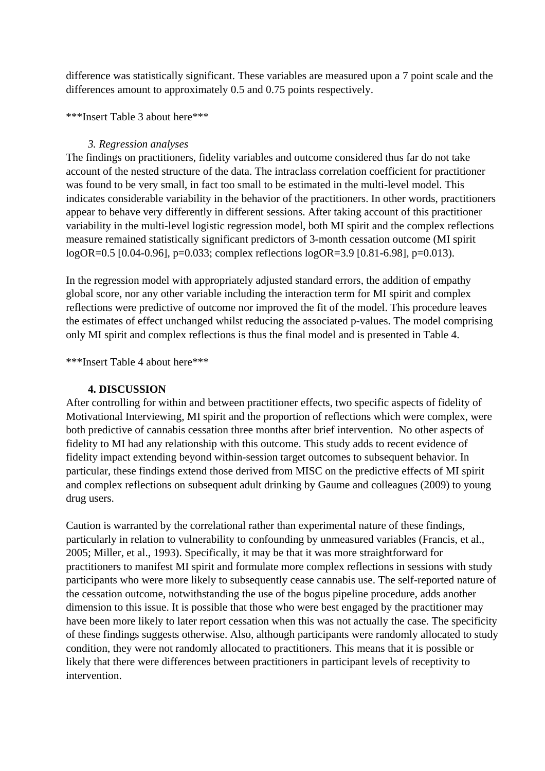difference was statistically significant. These variables are measured upon a 7 point scale and the differences amount to approximately 0.5 and 0.75 points respectively.

## \*\*\*Insert Table 3 about here\*\*\*

## *3. Regression analyses*

The findings on practitioners, fidelity variables and outcome considered thus far do not take account of the nested structure of the data. The intraclass correlation coefficient for practitioner was found to be very small, in fact too small to be estimated in the multi-level model. This indicates considerable variability in the behavior of the practitioners. In other words, practitioners appear to behave very differently in different sessions. After taking account of this practitioner variability in the multi-level logistic regression model, both MI spirit and the complex reflections measure remained statistically significant predictors of 3-month cessation outcome (MI spirit logOR=0.5 [0.04-0.96], p=0.033; complex reflections logOR=3.9 [0.81-6.98], p=0.013).

In the regression model with appropriately adjusted standard errors, the addition of empathy global score, nor any other variable including the interaction term for MI spirit and complex reflections were predictive of outcome nor improved the fit of the model. This procedure leaves the estimates of effect unchanged whilst reducing the associated p-values. The model comprising only MI spirit and complex reflections is thus the final model and is presented in Table 4.

\*\*\*Insert Table 4 about here\*\*\*

## **4. DISCUSSION**

After controlling for within and between practitioner effects, two specific aspects of fidelity of Motivational Interviewing, MI spirit and the proportion of reflections which were complex, were both predictive of cannabis cessation three months after brief intervention. No other aspects of fidelity to MI had any relationship with this outcome. This study adds to recent evidence of fidelity impact extending beyond within-session target outcomes to subsequent behavior. In particular, these findings extend those derived from MISC on the predictive effects of MI spirit and complex reflections on subsequent adult drinking by Gaume and colleagues (2009) to young drug users.

Caution is warranted by the correlational rather than experimental nature of these findings, particularly in relation to vulnerability to confounding by unmeasured variables (Francis, et al., 2005; Miller, et al., 1993). Specifically, it may be that it was more straightforward for practitioners to manifest MI spirit and formulate more complex reflections in sessions with study participants who were more likely to subsequently cease cannabis use. The self-reported nature of the cessation outcome, notwithstanding the use of the bogus pipeline procedure, adds another dimension to this issue. It is possible that those who were best engaged by the practitioner may have been more likely to later report cessation when this was not actually the case. The specificity of these findings suggests otherwise. Also, although participants were randomly allocated to study condition, they were not randomly allocated to practitioners. This means that it is possible or likely that there were differences between practitioners in participant levels of receptivity to intervention.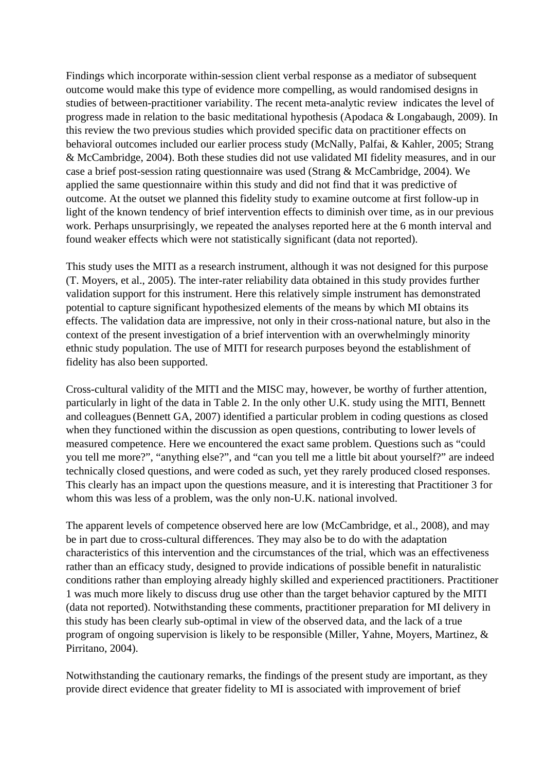Findings which incorporate within-session client verbal response as a mediator of subsequent outcome would make this type of evidence more compelling, as would randomised designs in studies of between-practitioner variability. The recent meta-analytic review indicates the level of progress made in relation to the basic meditational hypothesis (Apodaca & Longabaugh, 2009). In this review the two previous studies which provided specific data on practitioner effects on behavioral outcomes included our earlier process study (McNally, Palfai, & Kahler, 2005; Strang & McCambridge, 2004). Both these studies did not use validated MI fidelity measures, and in our case a brief post-session rating questionnaire was used (Strang & McCambridge, 2004). We applied the same questionnaire within this study and did not find that it was predictive of outcome. At the outset we planned this fidelity study to examine outcome at first follow-up in light of the known tendency of brief intervention effects to diminish over time, as in our previous work. Perhaps unsurprisingly, we repeated the analyses reported here at the 6 month interval and found weaker effects which were not statistically significant (data not reported).

This study uses the MITI as a research instrument, although it was not designed for this purpose (T. Moyers, et al., 2005). The inter-rater reliability data obtained in this study provides further validation support for this instrument. Here this relatively simple instrument has demonstrated potential to capture significant hypothesized elements of the means by which MI obtains its effects. The validation data are impressive, not only in their cross-national nature, but also in the context of the present investigation of a brief intervention with an overwhelmingly minority ethnic study population. The use of MITI for research purposes beyond the establishment of fidelity has also been supported.

Cross-cultural validity of the MITI and the MISC may, however, be worthy of further attention, particularly in light of the data in Table 2. In the only other U.K. study using the MITI, Bennett and colleagues(Bennett GA, 2007) identified a particular problem in coding questions as closed when they functioned within the discussion as open questions, contributing to lower levels of measured competence. Here we encountered the exact same problem. Questions such as "could you tell me more?", "anything else?", and "can you tell me a little bit about yourself?" are indeed technically closed questions, and were coded as such, yet they rarely produced closed responses. This clearly has an impact upon the questions measure, and it is interesting that Practitioner 3 for whom this was less of a problem, was the only non-U.K. national involved.

The apparent levels of competence observed here are low (McCambridge, et al., 2008), and may be in part due to cross-cultural differences. They may also be to do with the adaptation characteristics of this intervention and the circumstances of the trial, which was an effectiveness rather than an efficacy study, designed to provide indications of possible benefit in naturalistic conditions rather than employing already highly skilled and experienced practitioners. Practitioner 1 was much more likely to discuss drug use other than the target behavior captured by the MITI (data not reported). Notwithstanding these comments, practitioner preparation for MI delivery in this study has been clearly sub-optimal in view of the observed data, and the lack of a true program of ongoing supervision is likely to be responsible (Miller, Yahne, Moyers, Martinez, & Pirritano, 2004).

Notwithstanding the cautionary remarks, the findings of the present study are important, as they provide direct evidence that greater fidelity to MI is associated with improvement of brief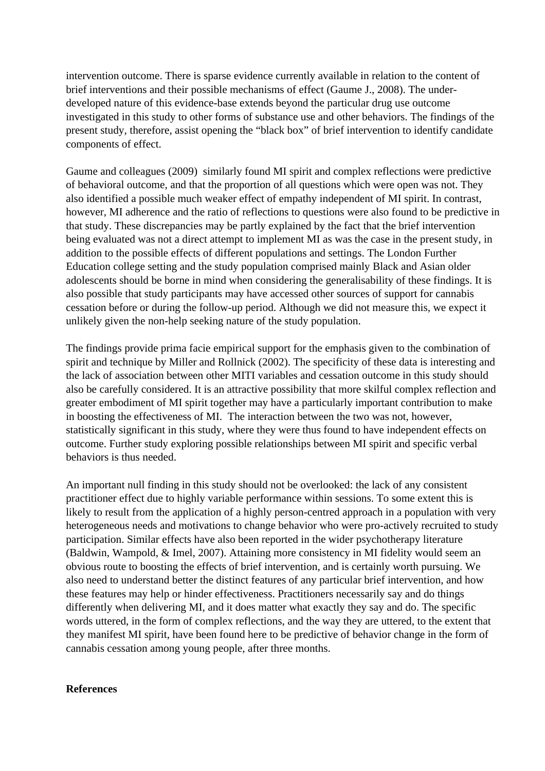intervention outcome. There is sparse evidence currently available in relation to the content of brief interventions and their possible mechanisms of effect (Gaume J., 2008). The underdeveloped nature of this evidence-base extends beyond the particular drug use outcome investigated in this study to other forms of substance use and other behaviors. The findings of the present study, therefore, assist opening the "black box" of brief intervention to identify candidate components of effect.

Gaume and colleagues (2009) similarly found MI spirit and complex reflections were predictive of behavioral outcome, and that the proportion of all questions which were open was not. They also identified a possible much weaker effect of empathy independent of MI spirit. In contrast, however, MI adherence and the ratio of reflections to questions were also found to be predictive in that study. These discrepancies may be partly explained by the fact that the brief intervention being evaluated was not a direct attempt to implement MI as was the case in the present study, in addition to the possible effects of different populations and settings. The London Further Education college setting and the study population comprised mainly Black and Asian older adolescents should be borne in mind when considering the generalisability of these findings. It is also possible that study participants may have accessed other sources of support for cannabis cessation before or during the follow-up period. Although we did not measure this, we expect it unlikely given the non-help seeking nature of the study population.

The findings provide prima facie empirical support for the emphasis given to the combination of spirit and technique by Miller and Rollnick (2002). The specificity of these data is interesting and the lack of association between other MITI variables and cessation outcome in this study should also be carefully considered. It is an attractive possibility that more skilful complex reflection and greater embodiment of MI spirit together may have a particularly important contribution to make in boosting the effectiveness of MI. The interaction between the two was not, however, statistically significant in this study, where they were thus found to have independent effects on outcome. Further study exploring possible relationships between MI spirit and specific verbal behaviors is thus needed.

An important null finding in this study should not be overlooked: the lack of any consistent practitioner effect due to highly variable performance within sessions. To some extent this is likely to result from the application of a highly person-centred approach in a population with very heterogeneous needs and motivations to change behavior who were pro-actively recruited to study participation. Similar effects have also been reported in the wider psychotherapy literature (Baldwin, Wampold, & Imel, 2007). Attaining more consistency in MI fidelity would seem an obvious route to boosting the effects of brief intervention, and is certainly worth pursuing. We also need to understand better the distinct features of any particular brief intervention, and how these features may help or hinder effectiveness. Practitioners necessarily say and do things differently when delivering MI, and it does matter what exactly they say and do. The specific words uttered, in the form of complex reflections, and the way they are uttered, to the extent that they manifest MI spirit, have been found here to be predictive of behavior change in the form of cannabis cessation among young people, after three months.

### **References**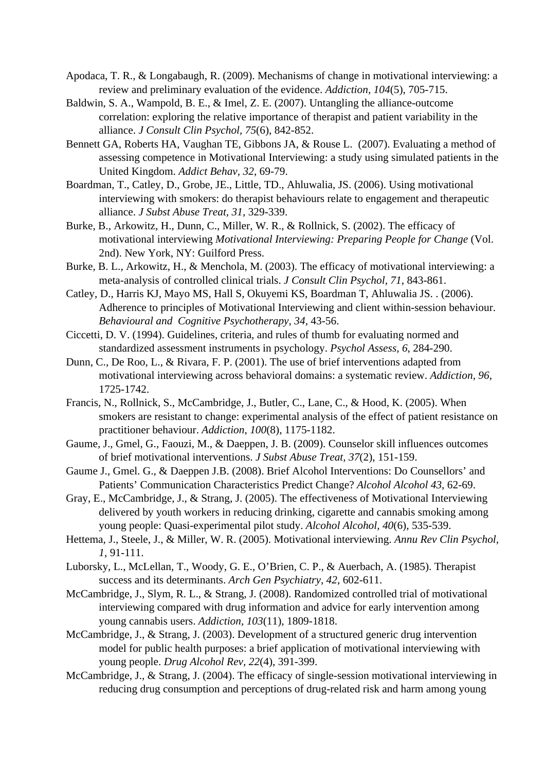- Apodaca, T. R., & Longabaugh, R. (2009). Mechanisms of change in motivational interviewing: a review and preliminary evaluation of the evidence. *Addiction, 104*(5), 705-715.
- Baldwin, S. A., Wampold, B. E., & Imel, Z. E. (2007). Untangling the alliance-outcome correlation: exploring the relative importance of therapist and patient variability in the alliance. *J Consult Clin Psychol, 75*(6), 842-852.
- Bennett GA, Roberts HA, Vaughan TE, Gibbons JA, & Rouse L. (2007). Evaluating a method of assessing competence in Motivational Interviewing: a study using simulated patients in the United Kingdom. *Addict Behav, 32*, 69-79.
- Boardman, T., Catley, D., Grobe, JE., Little, TD., Ahluwalia, JS. (2006). Using motivational interviewing with smokers: do therapist behaviours relate to engagement and therapeutic alliance. *J Subst Abuse Treat, 31*, 329-339.
- Burke, B., Arkowitz, H., Dunn, C., Miller, W. R., & Rollnick, S. (2002). The efficacy of motivational interviewing *Motivational Interviewing: Preparing People for Change* (Vol. 2nd). New York, NY: Guilford Press.
- Burke, B. L., Arkowitz, H., & Menchola, M. (2003). The efficacy of motivational interviewing: a meta-analysis of controlled clinical trials. *J Consult Clin Psychol, 71*, 843-861.
- Catley, D., Harris KJ, Mayo MS, Hall S, Okuyemi KS, Boardman T, Ahluwalia JS. . (2006). Adherence to principles of Motivational Interviewing and client within-session behaviour. *Behavioural and Cognitive Psychotherapy, 34*, 43-56.
- Ciccetti, D. V. (1994). Guidelines, criteria, and rules of thumb for evaluating normed and standardized assessment instruments in psychology. *Psychol Assess, 6*, 284-290.
- Dunn, C., De Roo, L., & Rivara, F. P. (2001). The use of brief interventions adapted from motivational interviewing across behavioral domains: a systematic review. *Addiction, 96*, 1725-1742.
- Francis, N., Rollnick, S., McCambridge, J., Butler, C., Lane, C., & Hood, K. (2005). When smokers are resistant to change: experimental analysis of the effect of patient resistance on practitioner behaviour. *Addiction, 100*(8), 1175-1182.
- Gaume, J., Gmel, G., Faouzi, M., & Daeppen, J. B. (2009). Counselor skill influences outcomes of brief motivational interventions. *J Subst Abuse Treat, 37*(2), 151-159.
- Gaume J., Gmel. G., & Daeppen J.B. (2008). Brief Alcohol Interventions: Do Counsellors' and Patients' Communication Characteristics Predict Change? *Alcohol Alcohol 43*, 62-69.
- Gray, E., McCambridge, J., & Strang, J. (2005). The effectiveness of Motivational Interviewing delivered by youth workers in reducing drinking, cigarette and cannabis smoking among young people: Quasi-experimental pilot study. *Alcohol Alcohol, 40*(6), 535-539.
- Hettema, J., Steele, J., & Miller, W. R. (2005). Motivational interviewing. *Annu Rev Clin Psychol, 1*, 91-111.
- Luborsky, L., McLellan, T., Woody, G. E., O'Brien, C. P., & Auerbach, A. (1985). Therapist success and its determinants. *Arch Gen Psychiatry, 42*, 602-611.
- McCambridge, J., Slym, R. L., & Strang, J. (2008). Randomized controlled trial of motivational interviewing compared with drug information and advice for early intervention among young cannabis users. *Addiction, 103*(11), 1809-1818.
- McCambridge, J., & Strang, J. (2003). Development of a structured generic drug intervention model for public health purposes: a brief application of motivational interviewing with young people. *Drug Alcohol Rev, 22*(4), 391-399.
- McCambridge, J., & Strang, J. (2004). The efficacy of single-session motivational interviewing in reducing drug consumption and perceptions of drug-related risk and harm among young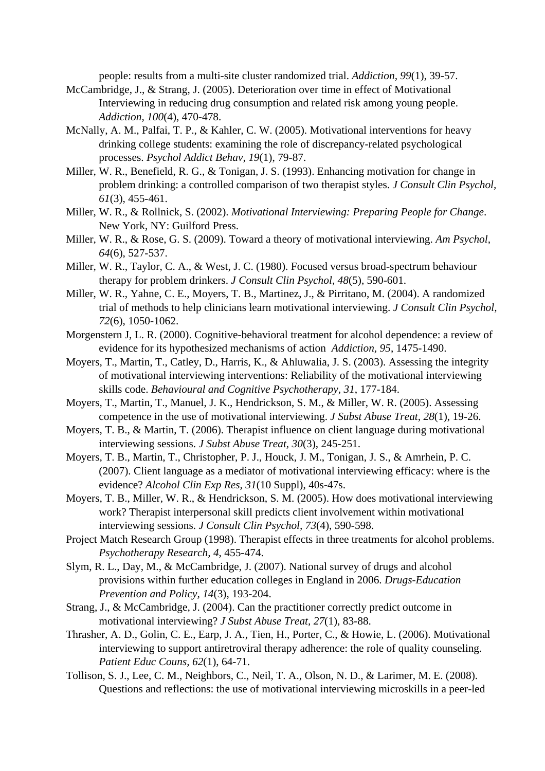people: results from a multi-site cluster randomized trial. *Addiction, 99*(1), 39-57.

- McCambridge, J., & Strang, J. (2005). Deterioration over time in effect of Motivational Interviewing in reducing drug consumption and related risk among young people. *Addiction, 100*(4), 470-478.
- McNally, A. M., Palfai, T. P., & Kahler, C. W. (2005). Motivational interventions for heavy drinking college students: examining the role of discrepancy-related psychological processes. *Psychol Addict Behav, 19*(1), 79-87.
- Miller, W. R., Benefield, R. G., & Tonigan, J. S. (1993). Enhancing motivation for change in problem drinking: a controlled comparison of two therapist styles. *J Consult Clin Psychol, 61*(3), 455-461.
- Miller, W. R., & Rollnick, S. (2002). *Motivational Interviewing: Preparing People for Change*. New York, NY: Guilford Press.
- Miller, W. R., & Rose, G. S. (2009). Toward a theory of motivational interviewing. *Am Psychol, 64*(6), 527-537.
- Miller, W. R., Taylor, C. A., & West, J. C. (1980). Focused versus broad-spectrum behaviour therapy for problem drinkers. *J Consult Clin Psychol, 48*(5), 590-601.
- Miller, W. R., Yahne, C. E., Moyers, T. B., Martinez, J., & Pirritano, M. (2004). A randomized trial of methods to help clinicians learn motivational interviewing. *J Consult Clin Psychol, 72*(6), 1050-1062.
- Morgenstern J, L. R. (2000). Cognitive-behavioral treatment for alcohol dependence: a review of evidence for its hypothesized mechanisms of action *Addiction, 95*, 1475-1490.
- Moyers, T., Martin, T., Catley, D., Harris, K., & Ahluwalia, J. S. (2003). Assessing the integrity of motivational interviewing interventions: Reliability of the motivational interviewing skills code. *Behavioural and Cognitive Psychotherapy, 31*, 177-184.
- Moyers, T., Martin, T., Manuel, J. K., Hendrickson, S. M., & Miller, W. R. (2005). Assessing competence in the use of motivational interviewing. *J Subst Abuse Treat, 28*(1), 19-26.
- Moyers, T. B., & Martin, T. (2006). Therapist influence on client language during motivational interviewing sessions. *J Subst Abuse Treat, 30*(3), 245-251.
- Moyers, T. B., Martin, T., Christopher, P. J., Houck, J. M., Tonigan, J. S., & Amrhein, P. C. (2007). Client language as a mediator of motivational interviewing efficacy: where is the evidence? *Alcohol Clin Exp Res, 31*(10 Suppl), 40s-47s.
- Moyers, T. B., Miller, W. R., & Hendrickson, S. M. (2005). How does motivational interviewing work? Therapist interpersonal skill predicts client involvement within motivational interviewing sessions. *J Consult Clin Psychol, 73*(4), 590-598.
- Project Match Research Group (1998). Therapist effects in three treatments for alcohol problems. *Psychotherapy Research, 4*, 455-474.
- Slym, R. L., Day, M., & McCambridge, J. (2007). National survey of drugs and alcohol provisions within further education colleges in England in 2006. *Drugs-Education Prevention and Policy, 14*(3), 193-204.
- Strang, J., & McCambridge, J. (2004). Can the practitioner correctly predict outcome in motivational interviewing? *J Subst Abuse Treat, 27*(1), 83-88.
- Thrasher, A. D., Golin, C. E., Earp, J. A., Tien, H., Porter, C., & Howie, L. (2006). Motivational interviewing to support antiretroviral therapy adherence: the role of quality counseling. *Patient Educ Couns, 62*(1), 64-71.
- Tollison, S. J., Lee, C. M., Neighbors, C., Neil, T. A., Olson, N. D., & Larimer, M. E. (2008). Questions and reflections: the use of motivational interviewing microskills in a peer-led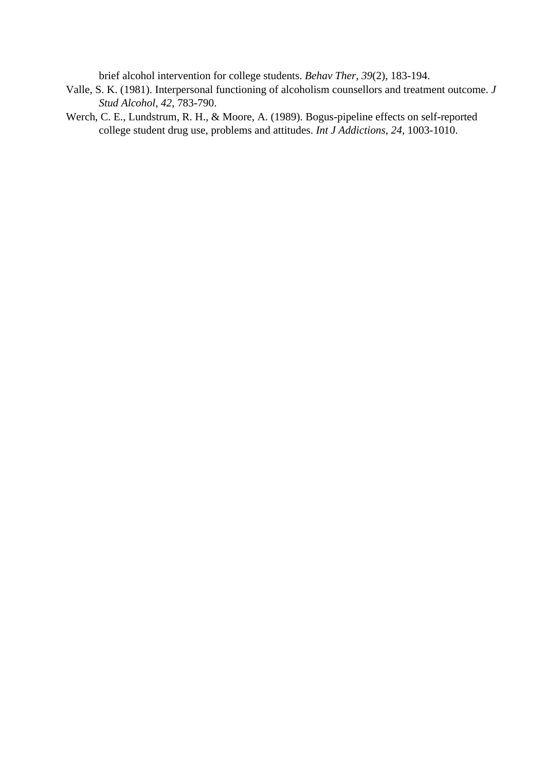brief alcohol intervention for college students. *Behav Ther, 39*(2), 183-194.

- Valle, S. K. (1981). Interpersonal functioning of alcoholism counsellors and treatment outcome. *J Stud Alcohol, 42*, 783-790.
- Werch, C. E., Lundstrum, R. H., & Moore, A. (1989). Bogus-pipeline effects on self-reported college student drug use, problems and attitudes. *Int J Addictions, 24*, 1003-1010.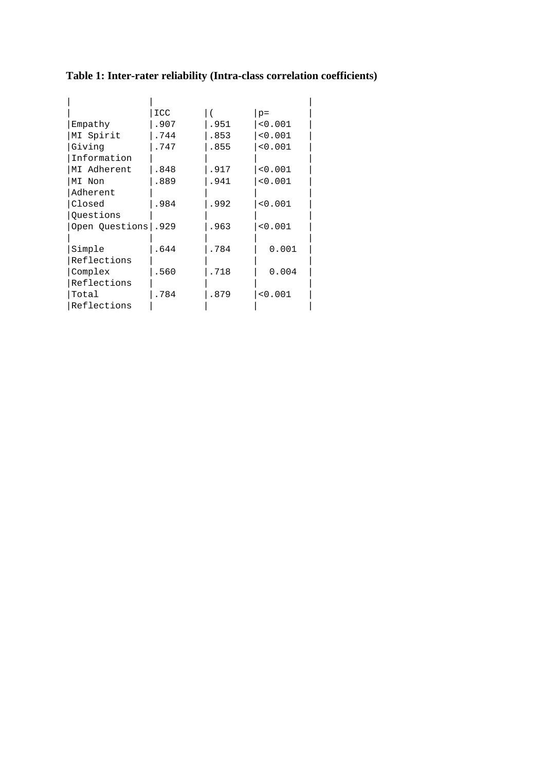**Table 1: Inter-rater reliability (Intra-class correlation coefficients)**

|                                                                                                      | $p =$   |
|------------------------------------------------------------------------------------------------------|---------|
|                                                                                                      | < 0.001 |
| .853                                                                                                 | < 0.001 |
| .855                                                                                                 | < 0.001 |
|                                                                                                      |         |
| .917                                                                                                 | < 0.001 |
| .941                                                                                                 | < 0.001 |
|                                                                                                      |         |
| .992                                                                                                 | < 0.001 |
|                                                                                                      |         |
| .963                                                                                                 | < 0.001 |
|                                                                                                      |         |
| .784                                                                                                 | 0.001   |
|                                                                                                      |         |
| .718                                                                                                 | 0.004   |
|                                                                                                      |         |
| .879                                                                                                 | < 0.001 |
|                                                                                                      |         |
| ICC<br>.907<br>.744<br>.747<br>.848<br>.889<br>.984<br>Open Questions   .929<br>.644<br>.560<br>.784 | .951    |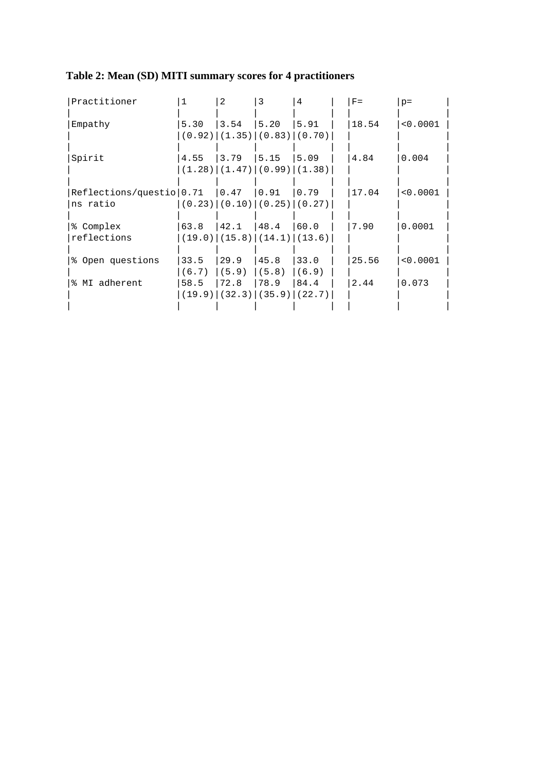| Table 2: Mean (SD) MITI summary scores for 4 practitioners |  |
|------------------------------------------------------------|--|
|                                                            |  |

| Practitioner                                  | 1              | 2                                                        | 3                       | 4              | $F =$ | $p =$    |
|-----------------------------------------------|----------------|----------------------------------------------------------|-------------------------|----------------|-------|----------|
| Empathy                                       | 5.30           | 3.54<br>$(0.92)$ $(1.35)$ $(0.83)$ $(0.70)$              | 5.20                    | 5.91           | 18.54 | < 0.0001 |
| Spirit                                        | 4.55           | 3.79<br>$(1.28)$ $(1.47)$ $(0.99)$ $(1.38)$              | 15.15                   | 5.09           | 4.84  | 0.004    |
| Reflections/questio   0.71   0.47<br>ns ratio |                | $(0.23)$ $(0.10)$ $(0.25)$ $(0.27)$                      | 0.91                    | 0.79           | 17.04 | < 0.0001 |
| % Complex<br>reflections                      | 63.8           | $ 42.1 $ $ 48.4 $<br>$(19.0)$ $(15.8)$ $(14.1)$ $(13.6)$ |                         | 60.0           | 7.90  | 0.0001   |
| % Open questions                              | 33.5<br>(6.7)  | 29.9<br>(5.9)                                            | 45.8<br>(5.8)           | 33.0<br>(6.9)  | 25.56 | < 0.0001 |
| % MI adherent                                 | 58.5<br>(19.9) | 72.8                                                     | 78.9<br>$(32.3)$ (35.9) | 84.4<br>(22.7) | 2.44  | 0.073    |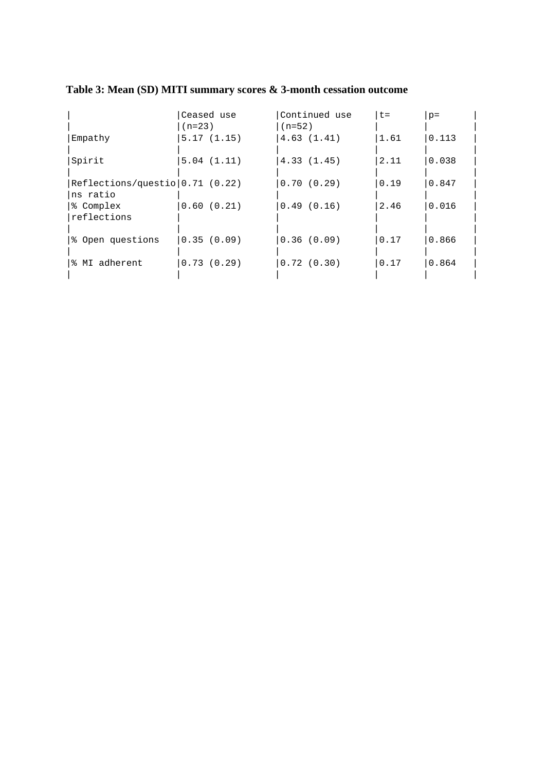|                                               | Ceased use<br>$(n=23)$ | Continued use<br>$(n=52)$ | $t =$ | $p =$ |
|-----------------------------------------------|------------------------|---------------------------|-------|-------|
| Empathy                                       | 5.17(1.15)             | 4.63(1.41)                | 1.61  | 0.113 |
| Spirit                                        | 5.04(1.11)             | 4.33(1.45)                | 2.11  | 0.038 |
| Reflections/question[0.71 (0.22)]<br>ns ratio |                        | 0.70(0.29)                | 0.19  | 0.847 |
| % Complex<br>reflections                      | 0.60(0.21)             | 0.49(0.16)                | 2.46  | 0.016 |
| % Open questions                              | 0.35(0.09)             | 0.36(0.09)                | 0.17  | 0.866 |
| % MI adherent                                 | 0.73(0.29)             | 0.72(0.30)                | 0.17  | 0.864 |
|                                               |                        |                           |       |       |

# **Table 3: Mean (SD) MITI summary scores & 3-month cessation outcome**